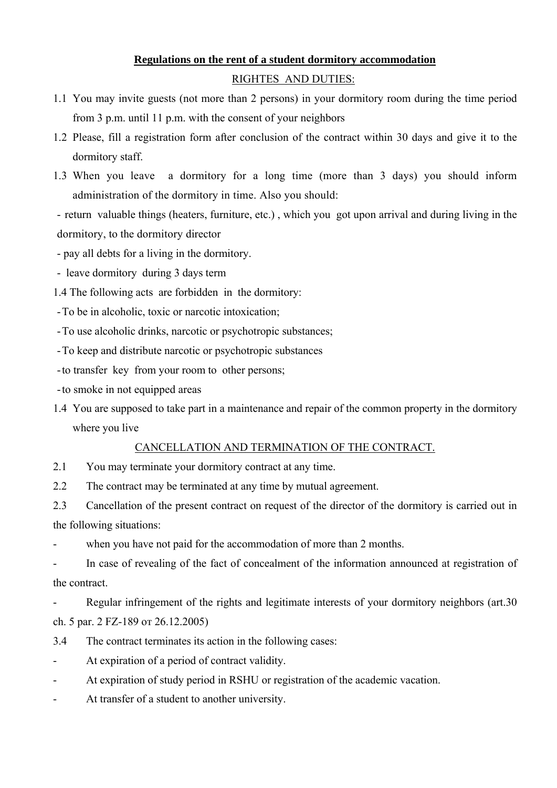## **Regulations on the rent of a student dormitory accommodation**

#### RIGHTES AND DUTIES:

- 1.1 You may invite guests (not more than 2 persons) in your dormitory room during the time period from 3 p.m. until 11 p.m. with the consent of your neighbors
- 1.2 Please, fill a registration form after conclusion of the contract within 30 days and give it to the dormitory staff.
- 1.3 When you leave a dormitory for a long time (more than 3 days) you should inform administration of the dormitory in time. Also you should:

- return valuable things (heaters, furniture, etc.) , which you got upon arrival and during living in the dormitory, to the dormitory director

- pay all debts for a living in the dormitory.

- leave dormitory during 3 days term
- 1.4 The following acts are forbidden in the dormitory:
- -To be in alcoholic, toxic or narcotic intoxication;
- -To use alcoholic drinks, narcotic or psychotropic substances;
- -To keep and distribute narcotic or psychotropic substances
- -to transfer key from your room to other persons;
- -to smoke in not equipped areas
- 1.4 You are supposed to take part in a maintenance and repair of the common property in the dormitory where you live

#### CANCELLATION AND TERMINATION OF THE CONTRACT.

- 2.1 You may terminate your dormitory contract at any time.
- 2.2 The contract may be terminated at any time by mutual agreement.

2.3 Cancellation of the present contract on request of the director of the dormitory is carried out in the following situations:

when you have not paid for the accommodation of more than 2 months.

- In case of revealing of the fact of concealment of the information announced at registration of the contract.

Regular infringement of the rights and legitimate interests of your dormitory neighbors (art.30) ch. 5 par. 2 FZ-189 от 26.12.2005)

- 3.4 The contract terminates its action in the following cases:
- At expiration of a period of contract validity.
- At expiration of study period in RSHU or registration of the academic vacation.
- At transfer of a student to another university.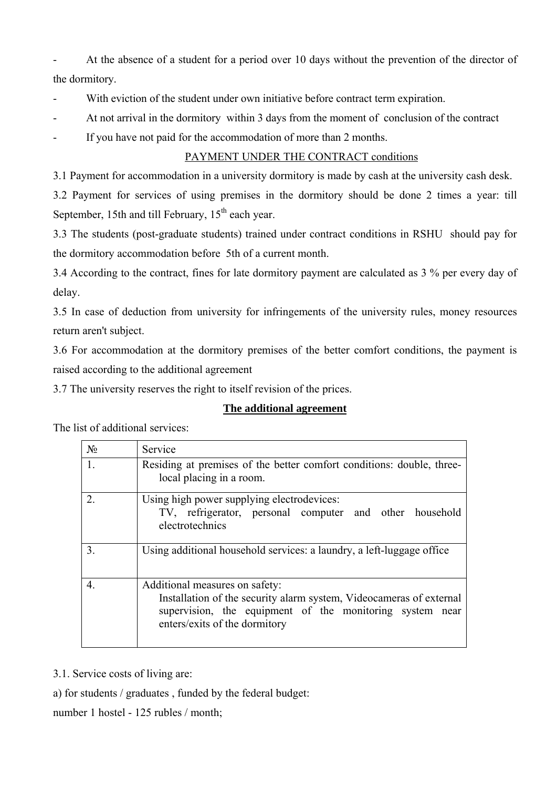- At the absence of a student for a period over 10 days without the prevention of the director of the dormitory.

With eviction of the student under own initiative before contract term expiration.

At not arrival in the dormitory within 3 days from the moment of conclusion of the contract

If you have not paid for the accommodation of more than 2 months.

# PAYMENT UNDER THE CONTRACT conditions

3.1 Payment for accommodation in a university dormitory is made by cash at the university cash desk.

3.2 Payment for services of using premises in the dormitory should be done 2 times a year: till September, 15th and till February,  $15<sup>th</sup>$  each year.

3.3 The students (post-graduate students) trained under contract conditions in RSHU should pay for the dormitory accommodation before 5th of a current month.

3.4 According to the contract, fines for late dormitory payment are calculated as 3 % per every day of delay.

3.5 In case of deduction from university for infringements of the university rules, money resources return aren't subject.

3.6 For accommodation at the dormitory premises of the better comfort conditions, the payment is raised according to the additional agreement

3.7 The university reserves the right to itself revision of the prices.

### **The additional agreement**

The list of additional services:

| $N_2$          | Service                                                                                                                                                                                            |
|----------------|----------------------------------------------------------------------------------------------------------------------------------------------------------------------------------------------------|
| 1.             | Residing at premises of the better comfort conditions: double, three-<br>local placing in a room.                                                                                                  |
| $\mathfrak{D}$ | Using high power supplying electrodevices:<br>TV, refrigerator, personal computer and other household<br>electrotechnics                                                                           |
| 3.             | Using additional household services: a laundry, a left-luggage office                                                                                                                              |
| 4.             | Additional measures on safety:<br>Installation of the security alarm system, Videocameras of external<br>supervision, the equipment of the monitoring system near<br>enters/exits of the dormitory |

3.1. Service costs of living are:

a) for students / graduates , funded by the federal budget:

number 1 hostel - 125 rubles / month;